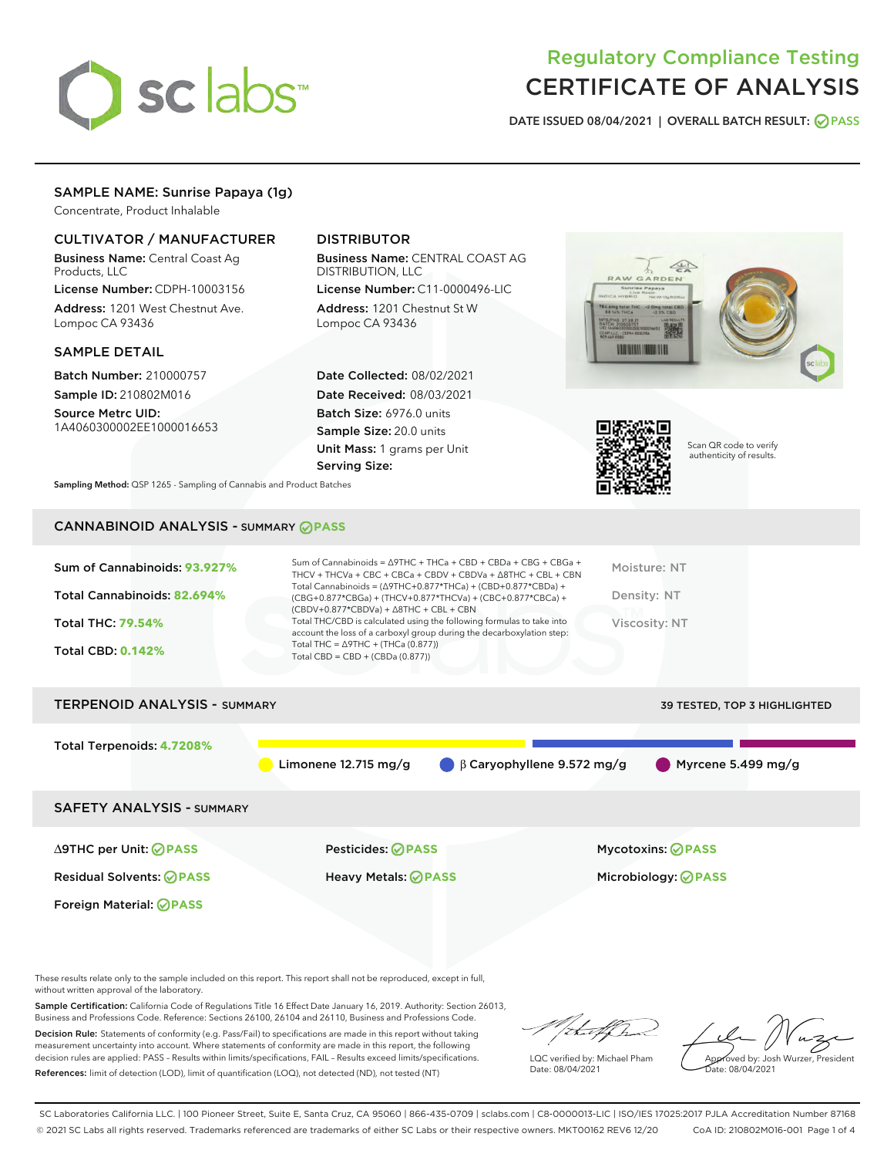

# Regulatory Compliance Testing CERTIFICATE OF ANALYSIS

DATE ISSUED 08/04/2021 | OVERALL BATCH RESULT: @ PASS

## SAMPLE NAME: Sunrise Papaya (1g)

Concentrate, Product Inhalable

## CULTIVATOR / MANUFACTURER

Business Name: Central Coast Ag Products, LLC

License Number: CDPH-10003156 Address: 1201 West Chestnut Ave. Lompoc CA 93436

#### SAMPLE DETAIL

Batch Number: 210000757 Sample ID: 210802M016

Source Metrc UID: 1A4060300002EE1000016653

## DISTRIBUTOR

Business Name: CENTRAL COAST AG DISTRIBUTION, LLC

License Number: C11-0000496-LIC Address: 1201 Chestnut St W Lompoc CA 93436

Date Collected: 08/02/2021 Date Received: 08/03/2021 Batch Size: 6976.0 units Sample Size: 20.0 units Unit Mass: 1 grams per Unit Serving Size:





Scan QR code to verify authenticity of results.

Sampling Method: QSP 1265 - Sampling of Cannabis and Product Batches

## CANNABINOID ANALYSIS - SUMMARY **PASS**

| Sum of Cannabinoids: 93.927%<br>Total Cannabinoids: 82.694%<br><b>Total THC: 79.54%</b><br><b>Total CBD: 0.142%</b> | Sum of Cannabinoids = $\triangle$ 9THC + THCa + CBD + CBDa + CBG + CBGa +<br>THCV + THCVa + CBC + CBCa + CBDV + CBDVa + A8THC + CBL + CBN<br>Total Cannabinoids = $(\Delta$ 9THC+0.877*THCa) + (CBD+0.877*CBDa) +<br>(CBG+0.877*CBGa) + (THCV+0.877*THCVa) + (CBC+0.877*CBCa) +<br>$(CBDV+0.877*CBDVa) + \Delta 8THC + CBL + CBN$<br>Total THC/CBD is calculated using the following formulas to take into<br>account the loss of a carboxyl group during the decarboxylation step:<br>Total THC = $\triangle$ 9THC + (THCa (0.877))<br>Total CBD = $CBD + (CBDa (0.877))$ | Moisture: NT<br>Density: NT<br>Viscosity: NT |
|---------------------------------------------------------------------------------------------------------------------|----------------------------------------------------------------------------------------------------------------------------------------------------------------------------------------------------------------------------------------------------------------------------------------------------------------------------------------------------------------------------------------------------------------------------------------------------------------------------------------------------------------------------------------------------------------------------|----------------------------------------------|
| <b>TERPENOID ANALYSIS - SUMMARY</b>                                                                                 |                                                                                                                                                                                                                                                                                                                                                                                                                                                                                                                                                                            | <b>39 TESTED, TOP 3 HIGHLIGHTED</b>          |
| Total Terpenoids: 4.7208%                                                                                           | Limonene $12.715$ mg/g<br>$\beta$ Caryophyllene 9.572 mg/g                                                                                                                                                                                                                                                                                                                                                                                                                                                                                                                 | Myrcene 5.499 mg/g                           |
| <b>SAFETY ANALYSIS - SUMMARY</b>                                                                                    |                                                                                                                                                                                                                                                                                                                                                                                                                                                                                                                                                                            |                                              |
| ∆9THC per Unit: ⊘PASS                                                                                               | Pesticides: ⊘PASS                                                                                                                                                                                                                                                                                                                                                                                                                                                                                                                                                          | <b>Mycotoxins: ⊘PASS</b>                     |
| <b>Residual Solvents: ⊘PASS</b>                                                                                     | Heavy Metals: <b>OPASS</b>                                                                                                                                                                                                                                                                                                                                                                                                                                                                                                                                                 | Microbiology: <b>OPASS</b>                   |
| Foreign Material: <b>⊘ PASS</b>                                                                                     |                                                                                                                                                                                                                                                                                                                                                                                                                                                                                                                                                                            |                                              |

These results relate only to the sample included on this report. This report shall not be reproduced, except in full, without written approval of the laboratory.

Sample Certification: California Code of Regulations Title 16 Effect Date January 16, 2019. Authority: Section 26013, Business and Professions Code. Reference: Sections 26100, 26104 and 26110, Business and Professions Code.

Decision Rule: Statements of conformity (e.g. Pass/Fail) to specifications are made in this report without taking measurement uncertainty into account. Where statements of conformity are made in this report, the following decision rules are applied: PASS – Results within limits/specifications, FAIL – Results exceed limits/specifications. References: limit of detection (LOD), limit of quantification (LOQ), not detected (ND), not tested (NT)

/that f h

LQC verified by: Michael Pham Date: 08/04/2021

Approved by: Josh Wurzer, President Date: 08/04/2021

SC Laboratories California LLC. | 100 Pioneer Street, Suite E, Santa Cruz, CA 95060 | 866-435-0709 | sclabs.com | C8-0000013-LIC | ISO/IES 17025:2017 PJLA Accreditation Number 87168 © 2021 SC Labs all rights reserved. Trademarks referenced are trademarks of either SC Labs or their respective owners. MKT00162 REV6 12/20 CoA ID: 210802M016-001 Page 1 of 4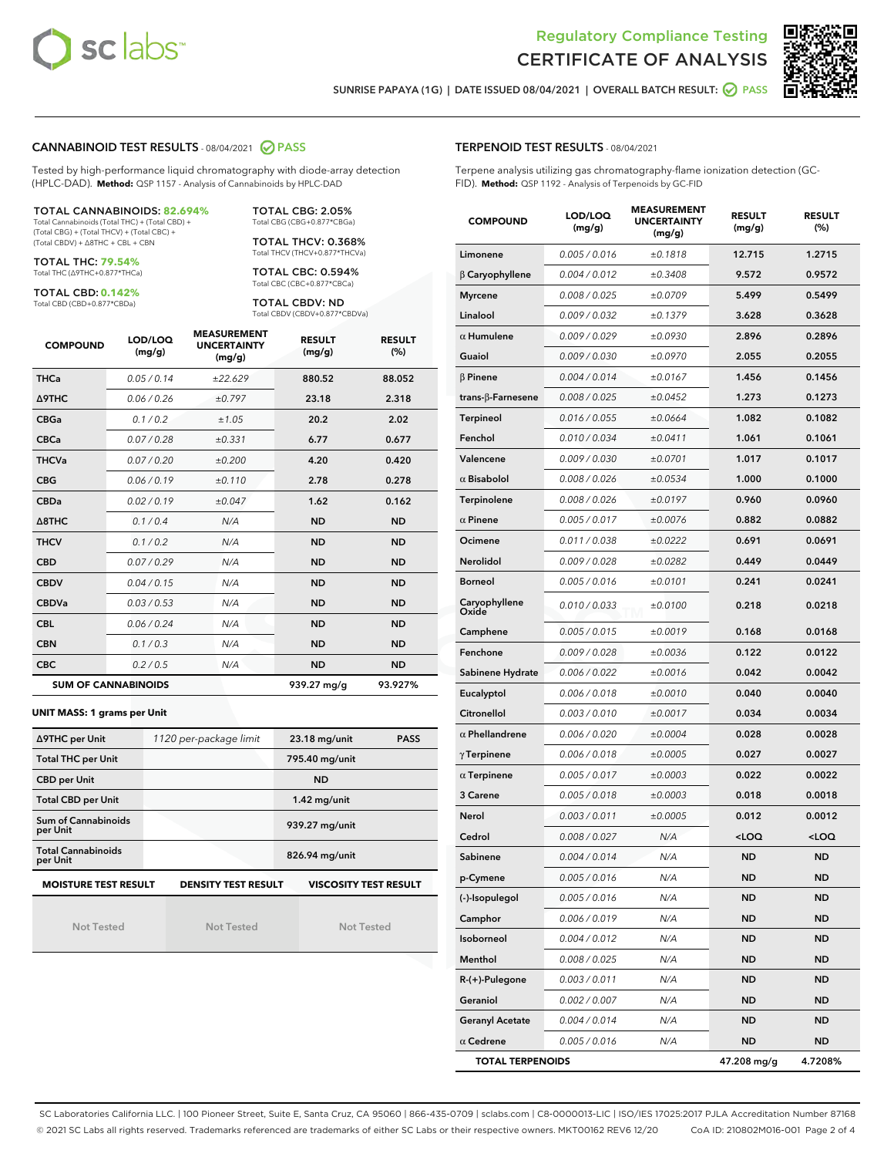



SUNRISE PAPAYA (1G) | DATE ISSUED 08/04/2021 | OVERALL BATCH RESULT: 2 PASS

#### CANNABINOID TEST RESULTS - 08/04/2021 2 PASS

Tested by high-performance liquid chromatography with diode-array detection (HPLC-DAD). **Method:** QSP 1157 - Analysis of Cannabinoids by HPLC-DAD

TOTAL CANNABINOIDS: **82.694%** Total Cannabinoids (Total THC) + (Total CBD) + (Total CBG) + (Total THCV) + (Total CBC) +

(Total CBDV) + ∆8THC + CBL + CBN TOTAL THC: **79.54%**

Total THC (∆9THC+0.877\*THCa)

TOTAL CBD: **0.142%** Total CBD (CBD+0.877\*CBDa)

Total CBG (CBG+0.877\*CBGa) TOTAL THCV: 0.368% Total THCV (THCV+0.877\*THCVa)

TOTAL CBG: 2.05%

TOTAL CBC: 0.594% Total CBC (CBC+0.877\*CBCa)

TOTAL CBDV: ND Total CBDV (CBDV+0.877\*CBDVa)

| <b>COMPOUND</b>  | LOD/LOQ<br>(mg/g)          | <b>MEASUREMENT</b><br><b>UNCERTAINTY</b><br>(mg/g) | <b>RESULT</b><br>(mg/g) | <b>RESULT</b><br>(%) |
|------------------|----------------------------|----------------------------------------------------|-------------------------|----------------------|
| <b>THCa</b>      | 0.05/0.14                  | ±22.629                                            | 880.52                  | 88.052               |
| <b>A9THC</b>     | 0.06 / 0.26                | ±0.797                                             | 23.18                   | 2.318                |
| <b>CBGa</b>      | 0.1 / 0.2                  | ±1.05                                              | 20.2                    | 2.02                 |
| <b>CBCa</b>      | 0.07 / 0.28                | ±0.331                                             | 6.77                    | 0.677                |
| <b>THCVa</b>     | 0.07/0.20                  | ±0.200                                             | 4.20                    | 0.420                |
| <b>CBG</b>       | 0.06/0.19                  | ±0.110                                             | 2.78                    | 0.278                |
| <b>CBDa</b>      | 0.02/0.19                  | ±0.047                                             | 1.62                    | 0.162                |
| $\triangle$ 8THC | 0.1 / 0.4                  | N/A                                                | <b>ND</b>               | <b>ND</b>            |
| <b>THCV</b>      | 0.1 / 0.2                  | N/A                                                | <b>ND</b>               | <b>ND</b>            |
| <b>CBD</b>       | 0.07/0.29                  | N/A                                                | <b>ND</b>               | <b>ND</b>            |
| <b>CBDV</b>      | 0.04 / 0.15                | N/A                                                | <b>ND</b>               | <b>ND</b>            |
| <b>CBDVa</b>     | 0.03 / 0.53                | N/A                                                | <b>ND</b>               | <b>ND</b>            |
| <b>CBL</b>       | 0.06 / 0.24                | N/A                                                | <b>ND</b>               | <b>ND</b>            |
| <b>CBN</b>       | 0.1/0.3                    | N/A                                                | <b>ND</b>               | <b>ND</b>            |
| <b>CBC</b>       | 0.2 / 0.5                  | N/A                                                | <b>ND</b>               | <b>ND</b>            |
|                  | <b>SUM OF CANNABINOIDS</b> |                                                    | 939.27 mg/g             | 93.927%              |

#### **UNIT MASS: 1 grams per Unit**

| ∆9THC per Unit                                                                            | 1120 per-package limit | $23.18$ mg/unit<br><b>PASS</b> |  |  |  |
|-------------------------------------------------------------------------------------------|------------------------|--------------------------------|--|--|--|
| <b>Total THC per Unit</b>                                                                 |                        | 795.40 mg/unit                 |  |  |  |
| <b>CBD per Unit</b>                                                                       |                        | <b>ND</b>                      |  |  |  |
| <b>Total CBD per Unit</b>                                                                 |                        | $1.42$ mg/unit                 |  |  |  |
| Sum of Cannabinoids<br>per Unit                                                           |                        | 939.27 mg/unit                 |  |  |  |
| <b>Total Cannabinoids</b><br>per Unit                                                     |                        | 826.94 mg/unit                 |  |  |  |
| <b>VISCOSITY TEST RESULT</b><br><b>MOISTURE TEST RESULT</b><br><b>DENSITY TEST RESULT</b> |                        |                                |  |  |  |

Not Tested

Not Tested

Not Tested

#### TERPENOID TEST RESULTS - 08/04/2021

Terpene analysis utilizing gas chromatography-flame ionization detection (GC-FID). **Method:** QSP 1192 - Analysis of Terpenoids by GC-FID

| <b>COMPOUND</b>           | LOD/LOQ<br>(mg/g)    | <b>MEASUREMENT</b><br><b>UNCERTAINTY</b><br>(mg/g) | <b>RESULT</b><br>(mg/g)                         | <b>RESULT</b><br>(%) |
|---------------------------|----------------------|----------------------------------------------------|-------------------------------------------------|----------------------|
| Limonene                  | 0.005 / 0.016        | ±0.1818                                            | 12.715                                          | 1.2715               |
| $\beta$ Caryophyllene     | 0.004 / 0.012        | ±0.3408                                            | 9.572                                           | 0.9572               |
| <b>Myrcene</b>            | 0.008 / 0.025        | ±0.0709                                            | 5.499                                           | 0.5499               |
| Linalool                  | 0.009 / 0.032        | ±0.1379                                            | 3.628                                           | 0.3628               |
| $\alpha$ Humulene         | 0.009 / 0.029        | ±0.0930                                            | 2.896                                           | 0.2896               |
| Guaiol                    | 0.009 / 0.030        | ±0.0970                                            | 2.055                                           | 0.2055               |
| $\beta$ Pinene            | 0.004 / 0.014        | ±0.0167                                            | 1.456                                           | 0.1456               |
| trans- $\beta$ -Farnesene | 0.008 / 0.025        | ±0.0452                                            | 1.273                                           | 0.1273               |
| <b>Terpineol</b>          | 0.016 / 0.055        | ±0.0664                                            | 1.082                                           | 0.1082               |
| Fenchol                   | 0.010 / 0.034        | ±0.0411                                            | 1.061                                           | 0.1061               |
| Valencene                 | <i>0.009 / 0.030</i> | ±0.0701                                            | 1.017                                           | 0.1017               |
| $\alpha$ Bisabolol        | 0.008 / 0.026        | ±0.0534                                            | 1.000                                           | 0.1000               |
| Terpinolene               | 0.008 / 0.026        | ±0.0197                                            | 0.960                                           | 0.0960               |
| $\alpha$ Pinene           | 0.005 / 0.017        | ±0.0076                                            | 0.882                                           | 0.0882               |
| Ocimene                   | 0.011 / 0.038        | ±0.0222                                            | 0.691                                           | 0.0691               |
| Nerolidol                 | 0.009 / 0.028        | ±0.0282                                            | 0.449                                           | 0.0449               |
| <b>Borneol</b>            | 0.005 / 0.016        | ±0.0101                                            | 0.241                                           | 0.0241               |
| Caryophyllene<br>Oxide    | 0.010 / 0.033        | ±0.0100                                            | 0.218                                           | 0.0218               |
| Camphene                  | 0.005 / 0.015        | ±0.0019                                            | 0.168                                           | 0.0168               |
| Fenchone                  | 0.009 / 0.028        | ±0.0036                                            | 0.122                                           | 0.0122               |
| Sabinene Hydrate          | 0.006 / 0.022        | ±0.0016                                            | 0.042                                           | 0.0042               |
| Eucalyptol                | 0.006 / 0.018        | ±0.0010                                            | 0.040                                           | 0.0040               |
| Citronellol               | 0.003 / 0.010        | ±0.0017                                            | 0.034                                           | 0.0034               |
| $\alpha$ Phellandrene     | 0.006 / 0.020        | ±0.0004                                            | 0.028                                           | 0.0028               |
| $\gamma$ Terpinene        | 0.006 / 0.018        | ±0.0005                                            | 0.027                                           | 0.0027               |
| $\alpha$ Terpinene        | 0.005 / 0.017        | ±0.0003                                            | 0.022                                           | 0.0022               |
| 3 Carene                  | 0.005 / 0.018        | ±0.0003                                            | 0.018                                           | 0.0018               |
| Nerol                     | 0.003 / 0.011        | ±0.0005                                            | 0.012                                           | 0.0012               |
| Cedrol                    | 0.008 / 0.027        | N/A                                                | <loq< th=""><th><loq< th=""></loq<></th></loq<> | <loq< th=""></loq<>  |
| Sabinene                  | 0.004 / 0.014        | N/A                                                | <b>ND</b>                                       | <b>ND</b>            |
| p-Cymene                  | 0.005 / 0.016        | N/A                                                | ND                                              | ND                   |
| (-)-Isopulegol            | 0.005 / 0.016        | N/A                                                | ND                                              | ND                   |
| Camphor                   | 0.006 / 0.019        | N/A                                                | <b>ND</b>                                       | ND                   |
| Isoborneol                | 0.004 / 0.012        | N/A                                                | ND                                              | ND                   |
| Menthol                   | 0.008 / 0.025        | N/A                                                | ND                                              | ND                   |
| R-(+)-Pulegone            | 0.003 / 0.011        | N/A                                                | ND                                              | ND                   |
| Geraniol                  | 0.002 / 0.007        | N/A                                                | ND                                              | ND                   |
| <b>Geranyl Acetate</b>    | 0.004 / 0.014        | N/A                                                | ND                                              | ND                   |
| $\alpha$ Cedrene          | 0.005 / 0.016        | N/A                                                | <b>ND</b>                                       | ND                   |
| <b>TOTAL TERPENOIDS</b>   |                      |                                                    | 47.208 mg/g                                     | 4.7208%              |

SC Laboratories California LLC. | 100 Pioneer Street, Suite E, Santa Cruz, CA 95060 | 866-435-0709 | sclabs.com | C8-0000013-LIC | ISO/IES 17025:2017 PJLA Accreditation Number 87168 © 2021 SC Labs all rights reserved. Trademarks referenced are trademarks of either SC Labs or their respective owners. MKT00162 REV6 12/20 CoA ID: 210802M016-001 Page 2 of 4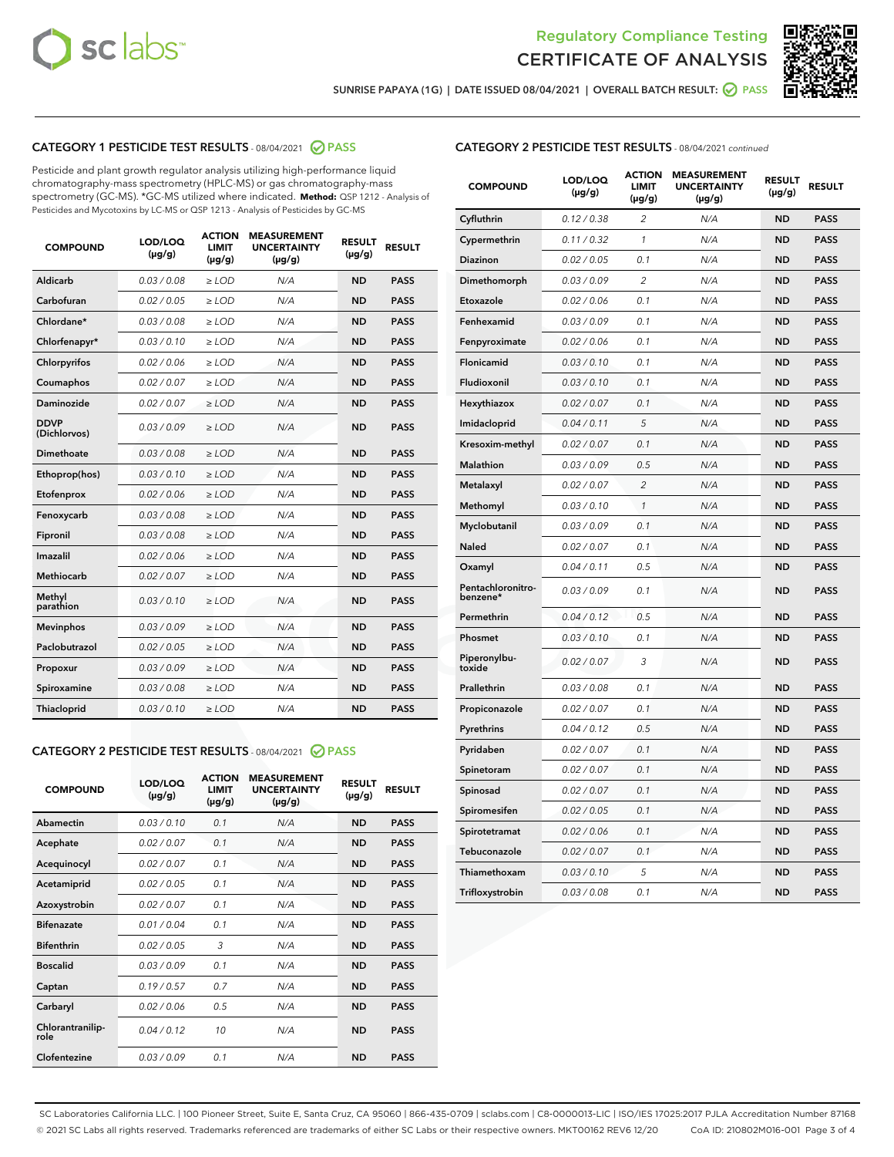



SUNRISE PAPAYA (1G) | DATE ISSUED 08/04/2021 | OVERALL BATCH RESULT:  $\bigcirc$  PASS

## CATEGORY 1 PESTICIDE TEST RESULTS - 08/04/2021 2 PASS

Pesticide and plant growth regulator analysis utilizing high-performance liquid chromatography-mass spectrometry (HPLC-MS) or gas chromatography-mass spectrometry (GC-MS). \*GC-MS utilized where indicated. **Method:** QSP 1212 - Analysis of Pesticides and Mycotoxins by LC-MS or QSP 1213 - Analysis of Pesticides by GC-MS

| <b>COMPOUND</b>             | LOD/LOQ<br>$(\mu g/g)$ | <b>ACTION</b><br><b>LIMIT</b><br>$(\mu g/g)$ | <b>MEASUREMENT</b><br><b>UNCERTAINTY</b><br>$(\mu g/g)$ | <b>RESULT</b><br>$(\mu g/g)$ | <b>RESULT</b> |
|-----------------------------|------------------------|----------------------------------------------|---------------------------------------------------------|------------------------------|---------------|
| Aldicarb                    | 0.03/0.08              | $\ge$ LOD                                    | N/A                                                     | <b>ND</b>                    | <b>PASS</b>   |
| Carbofuran                  | 0.02 / 0.05            | $\geq$ LOD                                   | N/A                                                     | <b>ND</b>                    | <b>PASS</b>   |
| Chlordane*                  | 0.03 / 0.08            | $\ge$ LOD                                    | N/A                                                     | <b>ND</b>                    | <b>PASS</b>   |
| Chlorfenapyr*               | 0.03/0.10              | $\geq$ LOD                                   | N/A                                                     | <b>ND</b>                    | <b>PASS</b>   |
| Chlorpyrifos                | 0.02 / 0.06            | $\geq$ LOD                                   | N/A                                                     | <b>ND</b>                    | <b>PASS</b>   |
| Coumaphos                   | 0.02 / 0.07            | $\ge$ LOD                                    | N/A                                                     | <b>ND</b>                    | <b>PASS</b>   |
| Daminozide                  | 0.02 / 0.07            | $\ge$ LOD                                    | N/A                                                     | <b>ND</b>                    | <b>PASS</b>   |
| <b>DDVP</b><br>(Dichlorvos) | 0.03/0.09              | $>$ LOD                                      | N/A                                                     | <b>ND</b>                    | <b>PASS</b>   |
| Dimethoate                  | 0.03/0.08              | $\ge$ LOD                                    | N/A                                                     | <b>ND</b>                    | <b>PASS</b>   |
| Ethoprop(hos)               | 0.03/0.10              | $\ge$ LOD                                    | N/A                                                     | <b>ND</b>                    | <b>PASS</b>   |
| Etofenprox                  | 0.02/0.06              | $>$ LOD                                      | N/A                                                     | <b>ND</b>                    | <b>PASS</b>   |
| Fenoxycarb                  | 0.03 / 0.08            | $\ge$ LOD                                    | N/A                                                     | <b>ND</b>                    | <b>PASS</b>   |
| Fipronil                    | 0.03/0.08              | $>$ LOD                                      | N/A                                                     | <b>ND</b>                    | <b>PASS</b>   |
| Imazalil                    | 0.02 / 0.06            | $\ge$ LOD                                    | N/A                                                     | <b>ND</b>                    | <b>PASS</b>   |
| Methiocarb                  | 0.02 / 0.07            | $\ge$ LOD                                    | N/A                                                     | <b>ND</b>                    | <b>PASS</b>   |
| Methyl<br>parathion         | 0.03/0.10              | $>$ LOD                                      | N/A                                                     | <b>ND</b>                    | <b>PASS</b>   |
| <b>Mevinphos</b>            | 0.03/0.09              | $>$ LOD                                      | N/A                                                     | <b>ND</b>                    | <b>PASS</b>   |
| Paclobutrazol               | 0.02 / 0.05            | $\ge$ LOD                                    | N/A                                                     | <b>ND</b>                    | <b>PASS</b>   |
| Propoxur                    | 0.03/0.09              | $\ge$ LOD                                    | N/A                                                     | <b>ND</b>                    | <b>PASS</b>   |
| Spiroxamine                 | 0.03/0.08              | $\ge$ LOD                                    | N/A                                                     | <b>ND</b>                    | <b>PASS</b>   |
| Thiacloprid                 | 0.03/0.10              | $\ge$ LOD                                    | N/A                                                     | <b>ND</b>                    | <b>PASS</b>   |

#### CATEGORY 2 PESTICIDE TEST RESULTS - 08/04/2021 @ PASS

| <b>COMPOUND</b>          | LOD/LOO<br>$(\mu g/g)$ | <b>ACTION</b><br>LIMIT<br>$(\mu g/g)$ | <b>MEASUREMENT</b><br><b>UNCERTAINTY</b><br>$(\mu g/g)$ | <b>RESULT</b><br>$(\mu g/g)$ | <b>RESULT</b> |  |
|--------------------------|------------------------|---------------------------------------|---------------------------------------------------------|------------------------------|---------------|--|
| Abamectin                | 0.03/0.10              | 0.1                                   | N/A                                                     | <b>ND</b>                    | <b>PASS</b>   |  |
| Acephate                 | 0.02/0.07              | 0.1                                   | N/A                                                     | <b>ND</b>                    | <b>PASS</b>   |  |
| Acequinocyl              | 0.02/0.07              | 0.1                                   | N/A                                                     | <b>ND</b>                    | <b>PASS</b>   |  |
| Acetamiprid              | 0.02 / 0.05            | 0.1                                   | N/A                                                     | <b>ND</b>                    | <b>PASS</b>   |  |
| Azoxystrobin             | 0.02/0.07              | 0.1                                   | N/A                                                     | <b>ND</b>                    | <b>PASS</b>   |  |
| <b>Bifenazate</b>        | 0.01 / 0.04            | 0.1                                   | N/A                                                     | <b>ND</b>                    | <b>PASS</b>   |  |
| <b>Bifenthrin</b>        | 0.02/0.05              | 3                                     | N/A                                                     | <b>ND</b>                    | <b>PASS</b>   |  |
| <b>Boscalid</b>          | 0.03/0.09              | 0.1                                   | N/A                                                     | <b>ND</b>                    | <b>PASS</b>   |  |
| Captan                   | 0.19/0.57              | 0.7                                   | N/A                                                     | <b>ND</b>                    | <b>PASS</b>   |  |
| Carbaryl                 | 0.02/0.06              | 0.5                                   | N/A                                                     | <b>ND</b>                    | <b>PASS</b>   |  |
| Chlorantranilip-<br>role | 0.04/0.12              | 10                                    | N/A                                                     | <b>ND</b>                    | <b>PASS</b>   |  |
| Clofentezine             | 0.03/0.09              | 0.1                                   | N/A                                                     | <b>ND</b>                    | <b>PASS</b>   |  |

| <b>COMPOUND</b>               | LOD/LOQ<br>(µg/g) | <b>ACTION</b><br><b>LIMIT</b><br>$(\mu g/g)$ | <b>MEASUREMENT</b><br><b>UNCERTAINTY</b><br>$(\mu g/g)$ | <b>RESULT</b><br>(µg/g) | <b>RESULT</b> |
|-------------------------------|-------------------|----------------------------------------------|---------------------------------------------------------|-------------------------|---------------|
| Cyfluthrin                    | 0.12 / 0.38       | $\overline{2}$                               | N/A                                                     | <b>ND</b>               | <b>PASS</b>   |
| Cypermethrin                  | 0.11 / 0.32       | 1                                            | N/A                                                     | ND                      | <b>PASS</b>   |
| <b>Diazinon</b>               | 0.02 / 0.05       | 0.1                                          | N/A                                                     | <b>ND</b>               | <b>PASS</b>   |
| Dimethomorph                  | 0.03 / 0.09       | $\overline{c}$                               | N/A                                                     | ND                      | PASS          |
| Etoxazole                     | 0.02 / 0.06       | 0.1                                          | N/A                                                     | ND                      | PASS          |
| Fenhexamid                    | 0.03 / 0.09       | 0.1                                          | N/A                                                     | <b>ND</b>               | <b>PASS</b>   |
| Fenpyroximate                 | 0.02 / 0.06       | 0.1                                          | N/A                                                     | ND                      | <b>PASS</b>   |
| Flonicamid                    | 0.03 / 0.10       | 0.1                                          | N/A                                                     | ND                      | <b>PASS</b>   |
| Fludioxonil                   | 0.03 / 0.10       | 0.1                                          | N/A                                                     | <b>ND</b>               | <b>PASS</b>   |
| Hexythiazox                   | 0.02 / 0.07       | 0.1                                          | N/A                                                     | <b>ND</b>               | PASS          |
| Imidacloprid                  | 0.04 / 0.11       | 5                                            | N/A                                                     | ND                      | PASS          |
| Kresoxim-methyl               | 0.02 / 0.07       | 0.1                                          | N/A                                                     | ND                      | <b>PASS</b>   |
| Malathion                     | 0.03 / 0.09       | 0.5                                          | N/A                                                     | <b>ND</b>               | <b>PASS</b>   |
| Metalaxyl                     | 0.02 / 0.07       | $\overline{2}$                               | N/A                                                     | <b>ND</b>               | <b>PASS</b>   |
| Methomyl                      | 0.03 / 0.10       | 1                                            | N/A                                                     | ND                      | <b>PASS</b>   |
| Myclobutanil                  | 0.03 / 0.09       | 0.1                                          | N/A                                                     | ND                      | <b>PASS</b>   |
| Naled                         | 0.02 / 0.07       | 0.1                                          | N/A                                                     | ND                      | PASS          |
| Oxamyl                        | 0.04 / 0.11       | 0.5                                          | N/A                                                     | ND                      | PASS          |
| Pentachloronitro-<br>benzene* | 0.03 / 0.09       | 0.1                                          | N/A                                                     | ND                      | <b>PASS</b>   |
| Permethrin                    | 0.04 / 0.12       | 0.5                                          | N/A                                                     | ND                      | <b>PASS</b>   |
| Phosmet                       | 0.03 / 0.10       | 0.1                                          | N/A                                                     | ND                      | <b>PASS</b>   |
| Piperonylbu-<br>toxide        | 0.02 / 0.07       | 3                                            | N/A                                                     | ND                      | <b>PASS</b>   |
| Prallethrin                   | 0.03 / 0.08       | 0.1                                          | N/A                                                     | ND                      | <b>PASS</b>   |
| Propiconazole                 | 0.02 / 0.07       | 0.1                                          | N/A                                                     | <b>ND</b>               | <b>PASS</b>   |
| Pyrethrins                    | 0.04 / 0.12       | 0.5                                          | N/A                                                     | <b>ND</b>               | PASS          |
| Pyridaben                     | 0.02 / 0.07       | 0.1                                          | N/A                                                     | ND                      | PASS          |
| Spinetoram                    | 0.02 / 0.07       | 0.1                                          | N/A                                                     | ND                      | <b>PASS</b>   |
| Spinosad                      | 0.02 / 0.07       | 0.1                                          | N/A                                                     | ND                      | PASS          |
| Spiromesifen                  | 0.02 / 0.05       | 0.1                                          | N/A                                                     | ND                      | <b>PASS</b>   |
| Spirotetramat                 | 0.02 / 0.06       | 0.1                                          | N/A                                                     | <b>ND</b>               | PASS          |
| Tebuconazole                  | 0.02 / 0.07       | 0.1                                          | N/A                                                     | ND                      | PASS          |
| Thiamethoxam                  | 0.03 / 0.10       | 5                                            | N/A                                                     | ND                      | <b>PASS</b>   |
| Trifloxystrobin               | 0.03 / 0.08       | 0.1                                          | N/A                                                     | ND                      | <b>PASS</b>   |

SC Laboratories California LLC. | 100 Pioneer Street, Suite E, Santa Cruz, CA 95060 | 866-435-0709 | sclabs.com | C8-0000013-LIC | ISO/IES 17025:2017 PJLA Accreditation Number 87168 © 2021 SC Labs all rights reserved. Trademarks referenced are trademarks of either SC Labs or their respective owners. MKT00162 REV6 12/20 CoA ID: 210802M016-001 Page 3 of 4